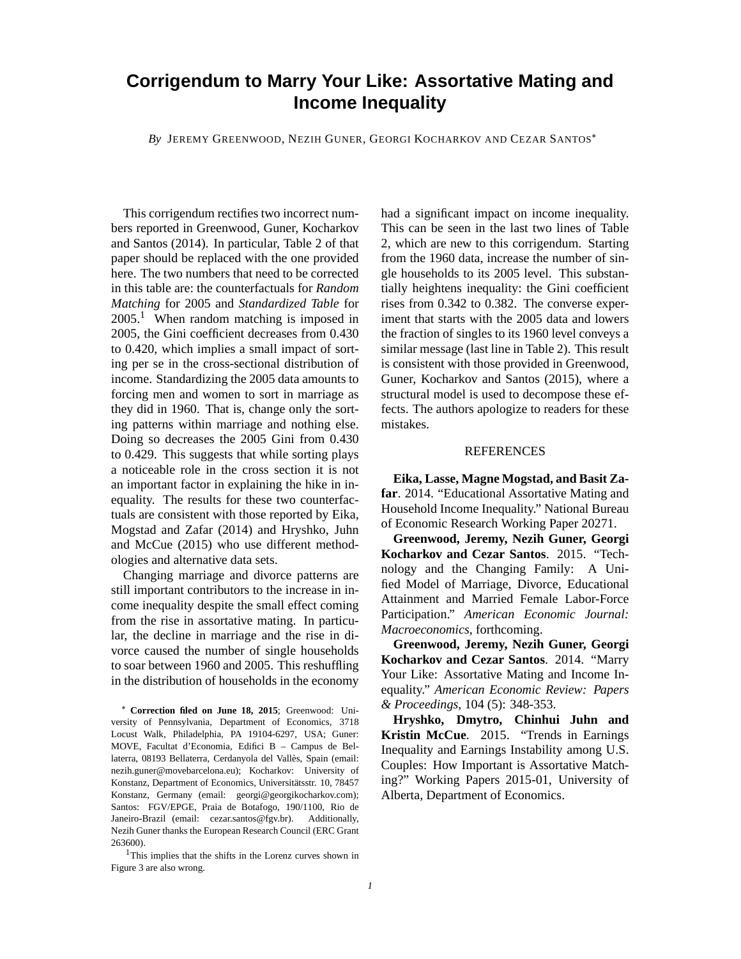## **Corrigendum to Marry Your Like: Assortative Mating and Income Inequality**

*By* JEREMY GREENWOOD, NEZIH GUNER, GEORGI KOCHARKOV AND CEZAR SANTOS

This corrigendum rectifies two incorrect numbers reported in Greenwood, Guner, Kocharkov and Santos (2014). In particular, Table 2 of that paper should be replaced with the one provided here. The two numbers that need to be corrected in this table are: the counterfactuals for *Random Matching* for 2005 and *Standardized Table* for  $2005<sup>1</sup>$  When random matching is imposed in 2005, the Gini coefficient decreases from 0.430 to 0.420, which implies a small impact of sorting per se in the cross-sectional distribution of income. Standardizing the 2005 data amounts to forcing men and women to sort in marriage as they did in 1960. That is, change only the sorting patterns within marriage and nothing else. Doing so decreases the 2005 Gini from 0.430 to 0.429. This suggests that while sorting plays a noticeable role in the cross section it is not an important factor in explaining the hike in inequality. The results for these two counterfactuals are consistent with those reported by Eika, Mogstad and Zafar (2014) and Hryshko, Juhn and McCue (2015) who use different methodologies and alternative data sets.

Changing marriage and divorce patterns are still important contributors to the increase in income inequality despite the small effect coming from the rise in assortative mating. In particular, the decline in marriage and the rise in divorce caused the number of single households to soar between 1960 and 2005. This reshuffling in the distribution of households in the economy had a significant impact on income inequality. This can be seen in the last two lines of Table 2, which are new to this corrigendum. Starting from the 1960 data, increase the number of single households to its 2005 level. This substantially heightens inequality: the Gini coefficient rises from 0.342 to 0.382. The converse experiment that starts with the 2005 data and lowers the fraction of singles to its 1960 level conveys a similar message (last line in Table 2). This result is consistent with those provided in Greenwood, Guner, Kocharkov and Santos (2015), where a structural model is used to decompose these effects. The authors apologize to readers for these mistakes.

## **REFERENCES**

**Eika, Lasse, Magne Mogstad, and Basit Zafar**. 2014. "Educational Assortative Mating and Household Income Inequality." National Bureau of Economic Research Working Paper 20271.

**Greenwood, Jeremy, Nezih Guner, Georgi Kocharkov and Cezar Santos**. 2015. "Technology and the Changing Family: A Unified Model of Marriage, Divorce, Educational Attainment and Married Female Labor-Force Participation." *American Economic Journal: Macroeconomics*, forthcoming.

**Greenwood, Jeremy, Nezih Guner, Georgi Kocharkov and Cezar Santos**. 2014. "Marry Your Like: Assortative Mating and Income Inequality." *American Economic Review: Papers & Proceedings*, 104 (5): 348-353.

**Hryshko, Dmytro, Chinhui Juhn and Kristin McCue**. 2015. "Trends in Earnings Inequality and Earnings Instability among U.S. Couples: How Important is Assortative Matching?" Working Papers 2015-01, University of Alberta, Department of Economics.

**Correction filed on June 18, 2015**; Greenwood: University of Pennsylvania, Department of Economics, 3718 Locust Walk, Philadelphia, PA 19104-6297, USA; Guner: MOVE, Facultat d'Economia, Edifici B – Campus de Bellaterra, 08193 Bellaterra, Cerdanyola del Vallès, Spain (email: nezih.guner@movebarcelona.eu); Kocharkov: University of Konstanz, Department of Economics, Universitätsstr. 10, 78457 Konstanz, Germany (email: georgi@georgikocharkov.com); Santos: FGV/EPGE, Praia de Botafogo, 190/1100, Rio de Janeiro-Brazil (email: cezar.santos@fgv.br). Additionally, Nezih Guner thanks the European Research Council (ERC Grant 263600).

<sup>1</sup>This implies that the shifts in the Lorenz curves shown in Figure 3 are also wrong.